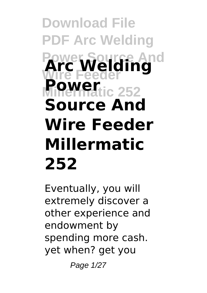# **Download File PDF Arc Welding Power Source And Wire Feeder Arc Welding Power**<sub>ic</sub> 252 **Source And Wire Feeder Millermatic 252**

Eventually, you will extremely discover a other experience and endowment by spending more cash. yet when? get you

Page 1/27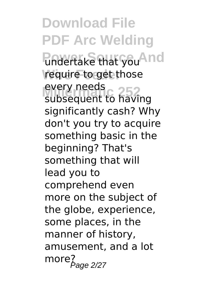**Download File PDF Arc Welding Undertake that you<sup>And</sup>** require to get those every needs<br>subsequent to having every needs significantly cash? Why don't you try to acquire something basic in the beginning? That's something that will lead you to comprehend even more on the subject of the globe, experience, some places, in the manner of history, amusement, and a lot  $more<sub>Page 2/27</sub>$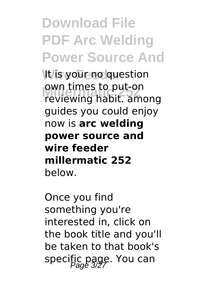## **Download File PDF Arc Welding Power Source And**

It is your no question own times to put-on<br>reviewing habit. among own times to put-on guides you could enjoy now is **arc welding power source and wire feeder millermatic 252** below.

Once you find something you're interested in, click on the book title and you'll be taken to that book's specific page. You can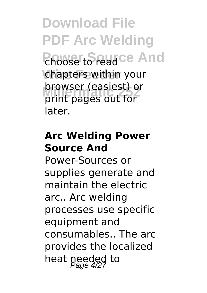**Download File PDF Arc Welding Phoose to read ce And** chapters within your **Millermatic 252** print pages out for browser (easiest) or later.

#### **Arc Welding Power Source And**

Power-Sources or supplies generate and maintain the electric arc.. Arc welding processes use specific equipment and consumables.. The arc provides the localized heat needed to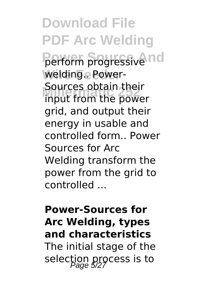**Download File PDF Arc Welding** perform progressive nd welding.. Power-Sources obtain their<br>input from the power Sources obtain their grid, and output their energy in usable and controlled form.. Power Sources for Arc Welding transform the power from the grid to controlled ...

### **Power-Sources for Arc Welding, types and characteristics**

The initial stage of the selection process is to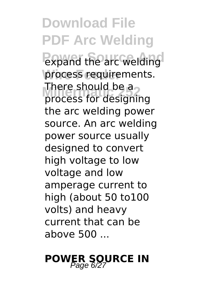**Download File PDF Arc Welding Powered** the arc welding process requirements. There should be a process for designing the arc welding power source. An arc welding power source usually designed to convert high voltage to low voltage and low amperage current to high (about 50 to100 volts) and heavy current that can be above 500 ...

## **POWER SOURCE IN**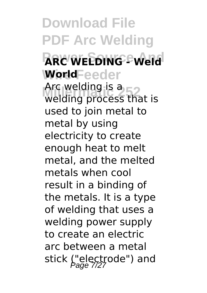**Download File PDF Arc Welding ARC WELDING - Weld** WorldFeeder Arc welding is a<br>welding process that is Arc welding is  $a_{\text{max}}$ used to join metal to metal by using electricity to create enough heat to melt metal, and the melted metals when cool result in a binding of the metals. It is a type of welding that uses a welding power supply to create an electric arc between a metal stick ("electrode") and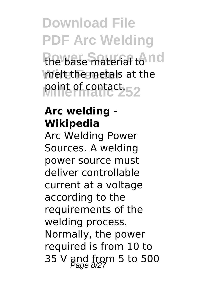**Download File PDF Arc Welding** the base material to nd melt the metals at the point of contact.

#### **Arc welding - Wikipedia**

Arc Welding Power Sources. A welding power source must deliver controllable current at a voltage according to the requirements of the welding process. Normally, the power required is from 10 to 35 V and from 5 to 500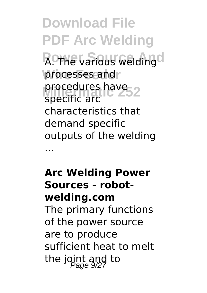**Download File PDF Arc Welding A.** The various welding processes and procedures have<sub>52</sub> specific arc characteristics that demand specific outputs of the welding ...

**Arc Welding Power Sources - robotwelding.com** The primary functions of the power source are to produce sufficient heat to melt the joint and to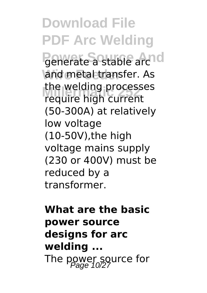**Download File PDF Arc Welding Penerate a stable archol** and metal transfer. As **Millermatic 252** require high current the welding processes (50-300A) at relatively low voltage (10-50V),the high voltage mains supply (230 or 400V) must be reduced by a transformer.

**What are the basic power source designs for arc welding ...** The power source for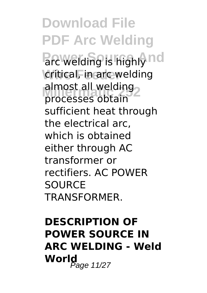**Download File PDF Arc Welding Parc welding is highly nd critical, in arc welding** almost all welding processes obtain sufficient heat through the electrical arc, which is obtained either through AC transformer or rectifiers. AC POWER **SOURCE** TRANSFORMER.

### **DESCRIPTION OF POWER SOURCE IN ARC WELDING - Weld World**<br>Page 11/27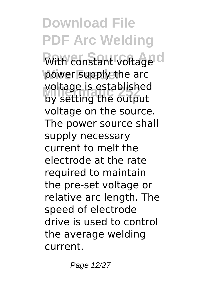**Download File PDF Arc Welding With constant voltage d** power supply the arc voltage is established<br>by setting the output by setting the output voltage on the source. The power source shall supply necessary current to melt the electrode at the rate required to maintain the pre-set voltage or relative arc length. The speed of electrode drive is used to control the average welding current.

Page 12/27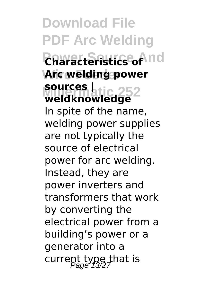**Download File PDF Arc Welding Power Source And Wire Feeder Arc welding power Miller 252**<br>Weldknowledge **sources |** In spite of the name, welding power supplies are not typically the source of electrical power for arc welding. Instead, they are power inverters and transformers that work by converting the electrical power from a building's power or a generator into a current type that is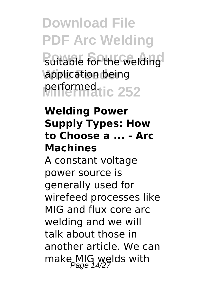**Download File PDF Arc Welding Suitable for the welding** application being performed.tic 252

#### **Welding Power Supply Types: How to Choose a ... - Arc Machines**

A constant voltage power source is generally used for wirefeed processes like MIG and flux core arc welding and we will talk about those in another article. We can make MIG welds with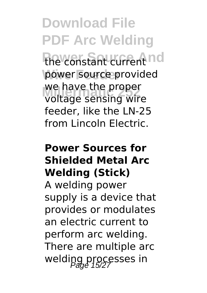**Download File PDF Arc Welding The constant current nd** power source provided we nave the proper<br>voltage sensing wire we have the proper feeder, like the LN-25 from Lincoln Electric.

#### **Power Sources for Shielded Metal Arc Welding (Stick)**

A welding power supply is a device that provides or modulates an electric current to perform arc welding. There are multiple arc welding processes in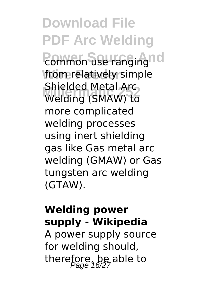**Download File PDF Arc Welding Pommon use ranging nd Wire Feeder** from relatively simple **Millermatic 252** Welding (SMAW) to Shielded Metal Arc more complicated welding processes using inert shielding gas like Gas metal arc welding (GMAW) or Gas tungsten arc welding (GTAW).

#### **Welding power supply - Wikipedia**

A power supply source for welding should, therefore, be able to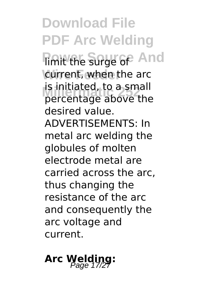**Download File PDF Arc Welding Fimit the surge of And** current, when the arc **B** initiated, to a small<br>percentage above the is initiated, to a small desired value. ADVERTISEMENTS: In metal arc welding the globules of molten electrode metal are carried across the arc, thus changing the resistance of the arc and consequently the arc voltage and current.

### Arc Welding: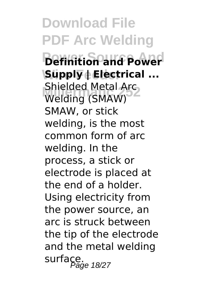**Download File PDF Arc Welding Petinition and Power Wire Feeder Supply | Electrical ... Shielded Metal Arcs**<br>Welding (SMAW) Shielded Metal Arc SMAW, or stick welding, is the most common form of arc welding. In the process, a stick or electrode is placed at the end of a holder. Using electricity from the power source, an arc is struck between the tip of the electrode and the metal welding surface.<br>Page 18/27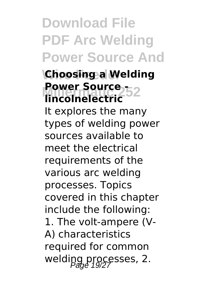**Download File PDF Arc Welding Power Source And**

#### **Choosing a Welding Power Source -- 252**<br>**Lincolnelectric lincolnelectric**

It explores the many types of welding power sources available to meet the electrical requirements of the various arc welding processes. Topics covered in this chapter include the following: 1. The volt-ampere (V-A) characteristics required for common welding processes, 2.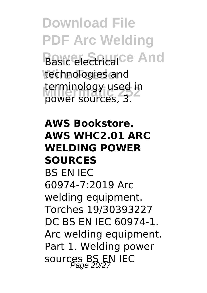**Download File PDF Arc Welding Basic electricalce And** technologies and **Lerminology used if**<br>power sources, 3. terminology used in

#### **AWS Bookstore. AWS WHC2.01 ARC WELDING POWER SOURCES**

BS EN IEC 60974-7:2019 Arc welding equipment. Torches 19/30393227 DC BS EN IEC 60974-1. Arc welding equipment. Part 1. Welding power sources BS EN IEC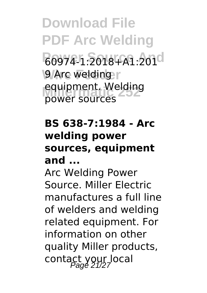**Download File PDF Arc Welding Power Source And** 60974-1:2018+A1:201 **9** Arc welding equipment. Welding power sources

#### **BS 638-7:1984 - Arc welding power sources, equipment and ...**

Arc Welding Power Source. Miller Electric manufactures a full line of welders and welding related equipment. For information on other quality Miller products, contact your local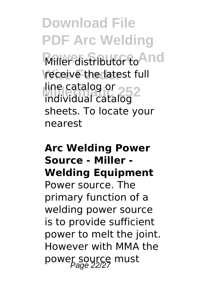**Download File PDF Arc Welding Miller** distributor to And receive the latest full line catalog or<br>individual catalog 2 individual catalog sheets. To locate your nearest

#### **Arc Welding Power Source - Miller - Welding Equipment** Power source. The primary function of a welding power source is to provide sufficient power to melt the joint. However with MMA the power source must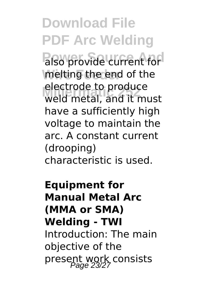**Download File PDF Arc Welding Palso provide current for Wire Feeder** melting the end of the **Millermatic 252** weld metal, and it must electrode to produce have a sufficiently high voltage to maintain the arc. A constant current (drooping) characteristic is used.

**Equipment for Manual Metal Arc (MMA or SMA) Welding - TWI** Introduction: The main objective of the present work consists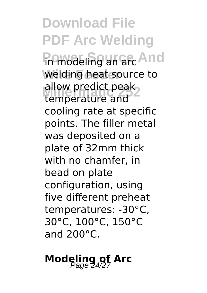**Download File PDF Arc Welding Firmodeling an arc And** welding heat source to allow predict peak<br>temperature and temperature and cooling rate at specific points. The filler metal was deposited on a plate of 32mm thick with no chamfer, in bead on plate configuration, using five different preheat temperatures: -30°C, 30°C, 100°C, 150°C and 200°C.

**Modeling of Arc**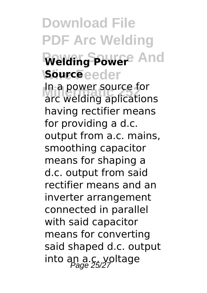**Download File PDF Arc Welding Welding Power** And **Source**eeder **Millermatic 252** arc welding aplications In a power source for having rectifier means for providing a d.c. output from a.c. mains, smoothing capacitor means for shaping a d.c. output from said rectifier means and an inverter arrangement connected in parallel with said capacitor means for converting said shaped d.c. output into an a.c. voltage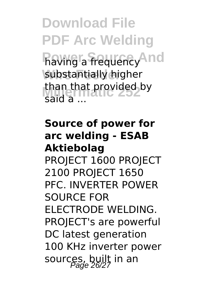**Download File PDF Arc Welding Flaving a frequency And Wire Feeder** substantially higher than that provided by said a ...

**Source of power for arc welding - ESAB Aktiebolag** PROJECT 1600 PROJECT 2100 PROJECT 1650 PFC. INVERTER POWER SOURCE FOR ELECTRODE WELDING. PROJECT's are powerful DC latest generation 100 KHz inverter power sources, built in an